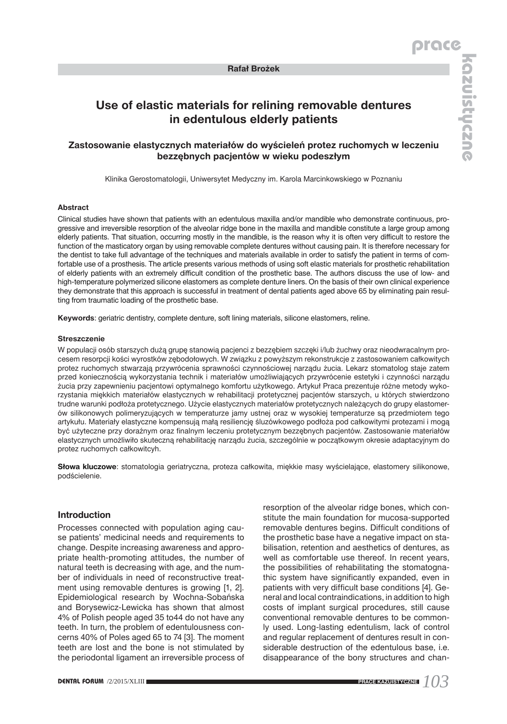### **Rafał Brożek**

# **Use of elastic materials for relining removable dentures in edentulous elderly patients**

## **Zastosowanie elastycznych materiałów do wyścieleń protez ruchomych w leczeniu bezzębnych pacjentów w wieku podeszłym**

Klinika Gerostomatologii, Uniwersytet Medyczny im. Karola Marcinkowskiego w Poznaniu

#### **Abstract**

Clinical studies have shown that patients with an edentulous maxilla and/or mandible who demonstrate continuous, progressive and irreversible resorption of the alveolar ridge bone in the maxilla and mandible constitute a large group among elderly patients. That situation, occurring mostly in the mandible, is the reason why it is often very difficult to restore the function of the masticatory organ by using removable complete dentures without causing pain. It is therefore necessary for the dentist to take full advantage of the techniques and materials available in order to satisfy the patient in terms of comfortable use of a prosthesis. The article presents various methods of using soft elastic materials for prosthetic rehabilitation of elderly patients with an extremely difficult condition of the prosthetic base. The authors discuss the use of low- and high-temperature polymerized silicone elastomers as complete denture liners. On the basis of their own clinical experience they demonstrate that this approach is successful in treatment of dental patients aged above 65 by eliminating pain resulting from traumatic loading of the prosthetic base.

**Keywords**: geriatric dentistry, complete denture, soft lining materials, silicone elastomers, reline.

#### **Streszczenie**

W populacji osób starszych dużą grupę stanowią pacjenci z bezzębiem szczęki i/lub żuchwy oraz nieodwracalnym procesem resorpcji kości wyrostków zębodołowych. W związku z powyższym rekonstrukcje z zastosowaniem całkowitych protez ruchomych stwarzają przywrócenia sprawności czynnościowej narządu żucia. Lekarz stomatolog staje zatem przed koniecznością wykorzystania technik i materiałów umożliwiających przywrócenie estetyki i czynności narządu żucia przy zapewnieniu pacjentowi optymalnego komfortu użytkowego. Artykuł Praca prezentuje różne metody wykorzystania miękkich materiałów elastycznych w rehabilitacji protetycznej pacjentów starszych, u których stwierdzono trudne warunki podłoża protetycznego. Użycie elastycznych materiałów protetycznych należących do grupy elastomerów silikonowych polimeryzujących w temperaturze jamy ustnej oraz w wysokiej temperaturze są przedmiotem tego artykułu. Materiały elastyczne kompensują małą resiliencję śluzówkowego podłoża pod całkowitymi protezami i mogą być użyteczne przy doraźnym oraz finalnym leczeniu protetycznym bezzębnych pacjentów. Zastosowanie materiałów elastycznych umożliwiło skuteczną rehabilitację narządu żucia, szczególnie w początkowym okresie adaptacyjnym do protez ruchomych całkowitcyh.

**Słowa kluczowe**: stomatologia geriatryczna, proteza całkowita, miękkie masy wyścielające, elastomery silikonowe, podścielenie.

#### **Introduction**

Processes connected with population aging cause patients' medicinal needs and requirements to change. Despite increasing awareness and appropriate health-promoting attitudes, the number of natural teeth is decreasing with age, and the number of individuals in need of reconstructive treatment using removable dentures is growing [1, 2]. Epidemiological research by Wochna-Sobańska and Borysewicz-Lewicka has shown that almost 4% of Polish people aged 35 to44 do not have any teeth. In turn, the problem of edentulousness concerns 40% of Poles aged 65 to 74 [3]. The moment teeth are lost and the bone is not stimulated by the periodontal ligament an irreversible process of resorption of the alveolar ridge bones, which constitute the main foundation for mucosa-supported removable dentures begins. Difficult conditions of the prosthetic base have a negative impact on stabilisation, retention and aesthetics of dentures, as well as comfortable use thereof. In recent years, the possibilities of rehabilitating the stomatognathic system have significantly expanded, even in patients with very difficult base conditions [4]. General and local contraindications, in addition to high costs of implant surgical procedures, still cause conventional removable dentures to be commonly used. Long-lasting edentulism, lack of control and regular replacement of dentures result in considerable destruction of the edentulous base, i.e. disappearance of the bony structures and chan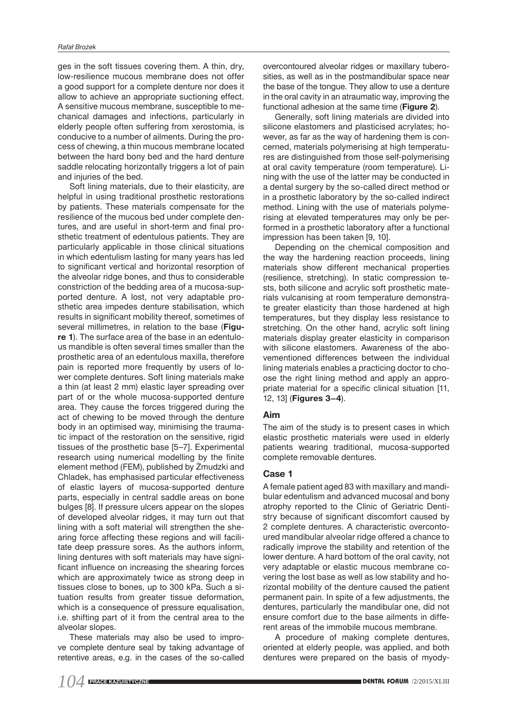ges in the soft tissues covering them. A thin, dry, low-resilience mucous membrane does not offer a good support for a complete denture nor does it allow to achieve an appropriate suctioning effect. A sensitive mucous membrane, susceptible to mechanical damages and infections, particularly in elderly people often suffering from xerostomia, is conducive to a number of ailments. During the process of chewing, a thin mucous membrane located between the hard bony bed and the hard denture saddle relocating horizontally triggers a lot of pain and injuries of the bed.

Soft lining materials, due to their elasticity, are helpful in using traditional prosthetic restorations by patients. These materials compensate for the resilience of the mucous bed under complete dentures, and are useful in short-term and final prosthetic treatment of edentulous patients. They are particularly applicable in those clinical situations in which edentulism lasting for many years has led to significant vertical and horizontal resorption of the alveolar ridge bones, and thus to considerable constriction of the bedding area of a mucosa-supported denture. A lost, not very adaptable prosthetic area impedes denture stabilisation, which results in significant mobility thereof, sometimes of several millimetres, in relation to the base (**Figure 1**). The surface area of the base in an edentulous mandible is often several times smaller than the prosthetic area of an edentulous maxilla, therefore pain is reported more frequently by users of lower complete dentures. Soft lining materials make a thin (at least 2 mm) elastic layer spreading over part of or the whole mucosa-supported denture area. They cause the forces triggered during the act of chewing to be moved through the denture body in an optimised way, minimising the traumatic impact of the restoration on the sensitive, rigid tissues of the prosthetic base [5–7]. Experimental research using numerical modelling by the finite element method (FEM), published by Żmudzki and Chladek, has emphasised particular effectiveness of elastic layers of mucosa-supported denture parts, especially in central saddle areas on bone bulges [8]. If pressure ulcers appear on the slopes of developed alveolar ridges, it may turn out that lining with a soft material will strengthen the shearing force affecting these regions and will facilitate deep pressure sores. As the authors inform, lining dentures with soft materials may have significant influence on increasing the shearing forces which are approximately twice as strong deep in tissues close to bones, up to 300 kPa. Such a situation results from greater tissue deformation, which is a consequence of pressure equalisation, i.e. shifting part of it from the central area to the alveolar slopes.

These materials may also be used to improve complete denture seal by taking advantage of retentive areas, e.g. in the cases of the so-called overcontoured alveolar ridges or maxillary tuberosities, as well as in the postmandibular space near the base of the tongue. They allow to use a denture in the oral cavity in an atraumatic way, improving the functional adhesion at the same time (**Figure 2**).

Generally, soft lining materials are divided into silicone elastomers and plasticised acrylates; however, as far as the way of hardening them is concerned, materials polymerising at high temperatures are distinguished from those self-polymerising at oral cavity temperature (room temperature). Lining with the use of the latter may be conducted in a dental surgery by the so-called direct method or in a prosthetic laboratory by the so-called indirect method. Lining with the use of materials polymerising at elevated temperatures may only be performed in a prosthetic laboratory after a functional impression has been taken [9, 10].

Depending on the chemical composition and the way the hardening reaction proceeds, lining materials show different mechanical properties (resilience, stretching). In static compression tests, both silicone and acrylic soft prosthetic materials vulcanising at room temperature demonstrate greater elasticity than those hardened at high temperatures, but they display less resistance to stretching. On the other hand, acrylic soft lining materials display greater elasticity in comparison with silicone elastomers. Awareness of the abovementioned differences between the individual lining materials enables a practicing doctor to choose the right lining method and apply an appropriate material for a specific clinical situation [11, 12, 13] (**Figures 3–4**).

#### **Aim**

The aim of the study is to present cases in which elastic prosthetic materials were used in elderly patients wearing traditional, mucosa-supported complete removable dentures.

#### **Case 1**

A female patient aged 83 with maxillary and mandibular edentulism and advanced mucosal and bony atrophy reported to the Clinic of Geriatric Dentistry because of significant discomfort caused by 2 complete dentures. A characteristic overcontoured mandibular alveolar ridge offered a chance to radically improve the stability and retention of the lower denture. A hard bottom of the oral cavity, not very adaptable or elastic mucous membrane covering the lost base as well as low stability and horizontal mobility of the denture caused the patient permanent pain. In spite of a few adjustments, the dentures, particularly the mandibular one, did not ensure comfort due to the base ailments in different areas of the immobile mucous membrane.

A procedure of making complete dentures, oriented at elderly people, was applied, and both dentures were prepared on the basis of myody-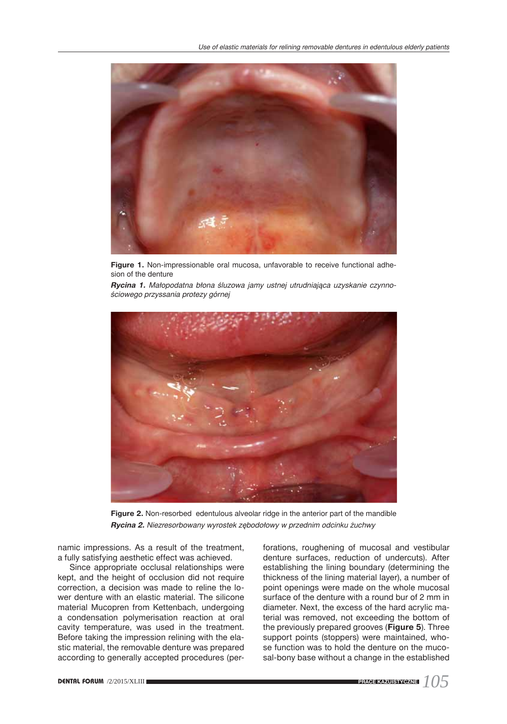

**Figure 1.** Non-impressionable oral mucosa, unfavorable to receive functional adhesion of the denture

*Rycina 1. Małopodatna błona śluzowa jamy ustnej utrudniająca uzyskanie czynnościowego przyssania protezy górnej*



**Figure 2.** Non-resorbed edentulous alveolar ridge in the anterior part of the mandible *Rycina 2. Niezresorbowany wyrostek zębodołowy w przednim odcinku żuchwy*

namic impressions. As a result of the treatment, a fully satisfying aesthetic effect was achieved.

Since appropriate occlusal relationships were kept, and the height of occlusion did not require correction, a decision was made to reline the lower denture with an elastic material. The silicone material Mucopren from Kettenbach, undergoing a condensation polymerisation reaction at oral cavity temperature, was used in the treatment. Before taking the impression relining with the elastic material, the removable denture was prepared according to generally accepted procedures (perforations, roughening of mucosal and vestibular denture surfaces, reduction of undercuts). After establishing the lining boundary (determining the thickness of the lining material layer), a number of point openings were made on the whole mucosal surface of the denture with a round bur of 2 mm in diameter. Next, the excess of the hard acrylic material was removed, not exceeding the bottom of the previously prepared grooves (**Figure 5**). Three support points (stoppers) were maintained, whose function was to hold the denture on the mucosal-bony base without a change in the established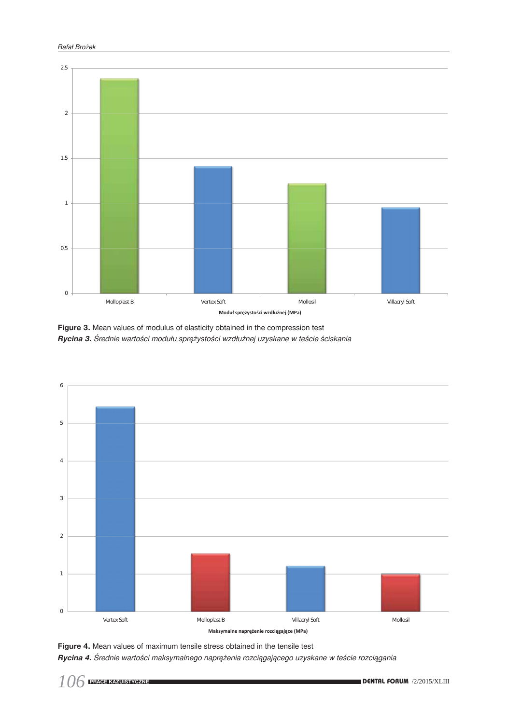

**Figure 3.** Mean values of modulus of elasticity obtained in the compression test *Rycina 3. Średnie wartości modułu sprężystości wzdłużnej uzyskane w teście ściskania*



**Figure 4.** Mean values of maximum tensile stress obtained in the tensile test

*Rycina 4. Średnie wartości maksymalnego naprężenia rozciągającego uzyskane w teście rozciągania*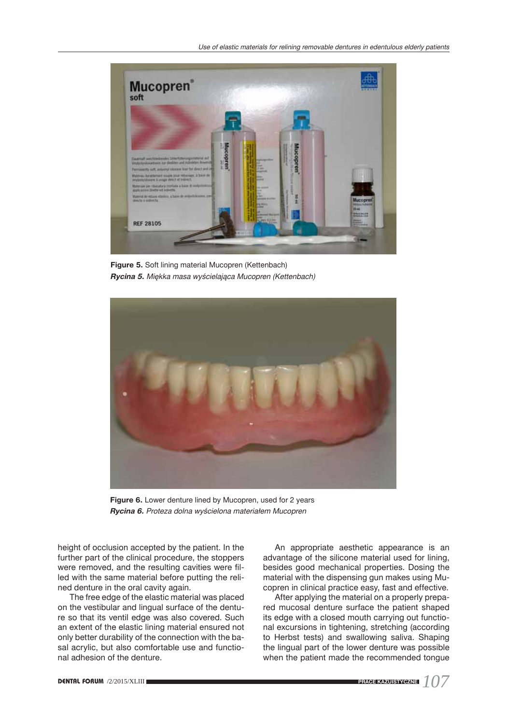

**Figure 5.** Soft lining material Mucopren (Kettenbach) *Rycina 5. Miękka masa wyścielająca Mucopren (Kettenbach)*



Figure 6. Lower denture lined by Mucopren, used for 2 years *Rycina 6. Proteza dolna wyścielona materiałem Mucopren*

height of occlusion accepted by the patient. In the further part of the clinical procedure, the stoppers were removed, and the resulting cavities were filled with the same material before putting the relined denture in the oral cavity again.

The free edge of the elastic material was placed on the vestibular and lingual surface of the denture so that its ventil edge was also covered. Such an extent of the elastic lining material ensured not only better durability of the connection with the basal acrylic, but also comfortable use and functional adhesion of the denture.

An appropriate aesthetic appearance is an advantage of the silicone material used for lining, besides good mechanical properties. Dosing the material with the dispensing gun makes using Mucopren in clinical practice easy, fast and effective.

After applying the material on a properly prepared mucosal denture surface the patient shaped its edge with a closed mouth carrying out functional excursions in tightening, stretching (according to Herbst tests) and swallowing saliva. Shaping the lingual part of the lower denture was possible when the patient made the recommended tongue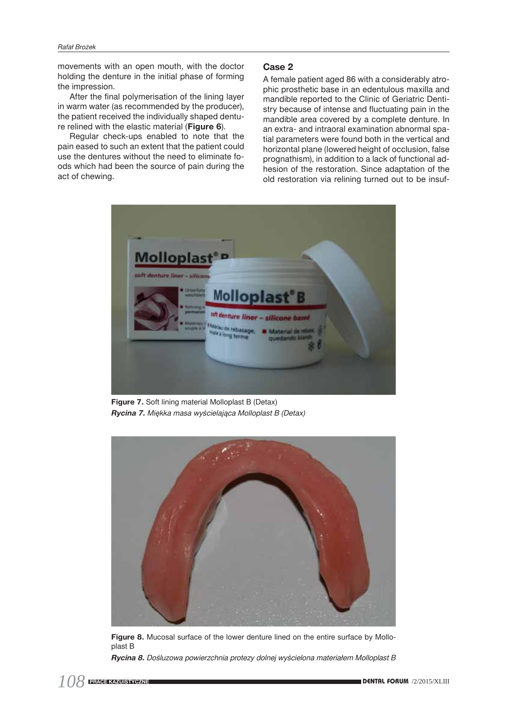movements with an open mouth, with the doctor holding the denture in the initial phase of forming the impression.

After the final polymerisation of the lining layer in warm water (as recommended by the producer), the patient received the individually shaped denture relined with the elastic material (**Figure 6**).

Regular check-ups enabled to note that the pain eased to such an extent that the patient could use the dentures without the need to eliminate foods which had been the source of pain during the act of chewing.

## **Case 2**

A female patient aged 86 with a considerably atrophic prosthetic base in an edentulous maxilla and mandible reported to the Clinic of Geriatric Dentistry because of intense and fluctuating pain in the mandible area covered by a complete denture. In an extra- and intraoral examination abnormal spatial parameters were found both in the vertical and horizontal plane (lowered height of occlusion, false prognathism), in addition to a lack of functional adhesion of the restoration. Since adaptation of the old restoration via relining turned out to be insuf-



**Figure 7.** Soft lining material Molloplast B (Detax) *Rycina 7. Miękka masa wyścielająca Molloplast B (Detax)*



**Figure 8.** Mucosal surface of the lower denture lined on the entire surface by Molloplast B *Rycina 8. Dośluzowa powierzchnia protezy dolnej wyścielona materiałem Molloplast B*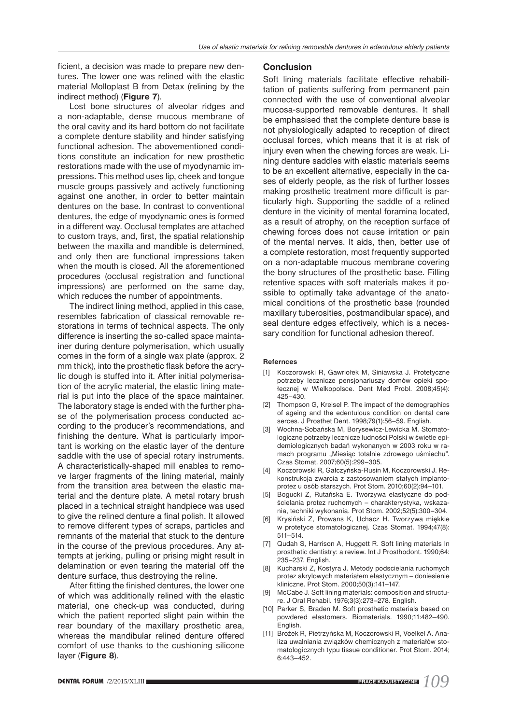ficient, a decision was made to prepare new dentures. The lower one was relined with the elastic material Molloplast B from Detax (relining by the indirect method) (**Figure 7**).

Lost bone structures of alveolar ridges and a non-adaptable, dense mucous membrane of the oral cavity and its hard bottom do not facilitate a complete denture stability and hinder satisfying functional adhesion. The abovementioned conditions constitute an indication for new prosthetic restorations made with the use of myodynamic impressions. This method uses lip, cheek and tongue muscle groups passively and actively functioning against one another, in order to better maintain dentures on the base. In contrast to conventional dentures, the edge of myodynamic ones is formed in a different way. Occlusal templates are attached to custom trays, and, first, the spatial relationship between the maxilla and mandible is determined, and only then are functional impressions taken when the mouth is closed. All the aforementioned procedures (occlusal registration and functional impressions) are performed on the same day, which reduces the number of appointments.

The indirect lining method, applied in this case, resembles fabrication of classical removable restorations in terms of technical aspects. The only difference is inserting the so-called space maintainer during denture polymerisation, which usually comes in the form of a single wax plate (approx. 2 mm thick), into the prosthetic flask before the acrylic dough is stuffed into it. After initial polymerisation of the acrylic material, the elastic lining material is put into the place of the space maintainer. The laboratory stage is ended with the further phase of the polymerisation process conducted according to the producer's recommendations, and finishing the denture. What is particularly important is working on the elastic layer of the denture saddle with the use of special rotary instruments. A characteristically-shaped mill enables to remove larger fragments of the lining material, mainly from the transition area between the elastic material and the denture plate. A metal rotary brush placed in a technical straight handpiece was used to give the relined denture a final polish. It allowed to remove different types of scraps, particles and remnants of the material that stuck to the denture in the course of the previous procedures. Any attempts at jerking, pulling or prising might result in delamination or even tearing the material off the denture surface, thus destroying the reline.

After fitting the finished dentures, the lower one of which was additionally relined with the elastic material, one check-up was conducted, during which the patient reported slight pain within the rear boundary of the maxillary prosthetic area, whereas the mandibular relined denture offered comfort of use thanks to the cushioning silicone layer (**Figure 8**).

#### **Conclusion**

Soft lining materials facilitate effective rehabilitation of patients suffering from permanent pain connected with the use of conventional alveolar mucosa-supported removable dentures. It shall be emphasised that the complete denture base is not physiologically adapted to reception of direct occlusal forces, which means that it is at risk of injury even when the chewing forces are weak. Lining denture saddles with elastic materials seems to be an excellent alternative, especially in the cases of elderly people, as the risk of further losses making prosthetic treatment more difficult is particularly high. Supporting the saddle of a relined denture in the vicinity of mental foramina located, as a result of atrophy, on the reception surface of chewing forces does not cause irritation or pain of the mental nerves. It aids, then, better use of a complete restoration, most frequently supported on a non-adaptable mucous membrane covering the bony structures of the prosthetic base. Filling retentive spaces with soft materials makes it possible to optimally take advantage of the anatomical conditions of the prosthetic base (rounded maxillary tuberosities, postmandibular space), and seal denture edges effectively, which is a necessary condition for functional adhesion thereof.

#### **Refernces**

- [1] Koczorowski R, Gawriołek M, Siniawska J. Protetyczne potrzeby lecznicze pensjonariuszy domów opieki społecznej w Wielkopolsce. Dent Med Probl. 2008;45(4): 425–430.
- [2] Thompson G, Kreisel P. The impact of the demographics of ageing and the edentulous condition on dental care serces. J Prosthet Dent. 1998;79(1):56–59. English.
- [3] Wochna-Sobańska M, Borysewicz-Lewicka M. Stomatologiczne potrzeby lecznicze ludności Polski w świetle epidemiologicznych badań wykonanych w 2003 roku w ramach programu "Miesiąc totalnie zdrowego uśmiechu". Czas Stomat. 2007;60(5):299–305.
- [4] Koczorowski R, Gałczyńska-Rusin M, Koczorowski J. Rekonstrukcja zwarcia z zastosowaniem stałych implantoprotez u osób starszych. Prot Stom. 2010;60(2):94–101.
- [5] Bogucki Z, Rutańska E. Tworzywa elastyczne do podścielania protez ruchomych – charakterystyka, wskazania, techniki wykonania. Prot Stom. 2002;52(5):300–304.
- [6] Krysiński Z, Prowans K, Uchacz H. Tworzywa miękkie w protetyce stomatologicznej. Czas Stomat. 1994;47(8): 511–514.
- [7] Qudah S, Harrison A, Huggett R. Soft lining materials In prosthetic dentistry: a review. Int J Prosthodont. 1990;64: 235–237. English.
- [8] Kucharski Z, Kostyra J. Metody podscielania ruchomych protez akrylowych materiałem elastycznym – doniesienie kliniczne. Prot Stom. 2000;50(3):141–147.
- [9] McCabe J. Soft lining materials: composition and structure. J Oral Rehabil. 1976;3(3):273–278. English.
- [10] Parker S, Braden M. Soft prosthetic materials based on powdered elastomers. Biomaterials. 1990;11:482–490. English.
- [11] Brożek R, Pietrzyńska M, Koczorowski R, Voelkel A. Analiza uwalniania związków chemicznych z materiałów stomatologicznych typu tissue conditioner. Prot Stom. 2014; 6:443–452.